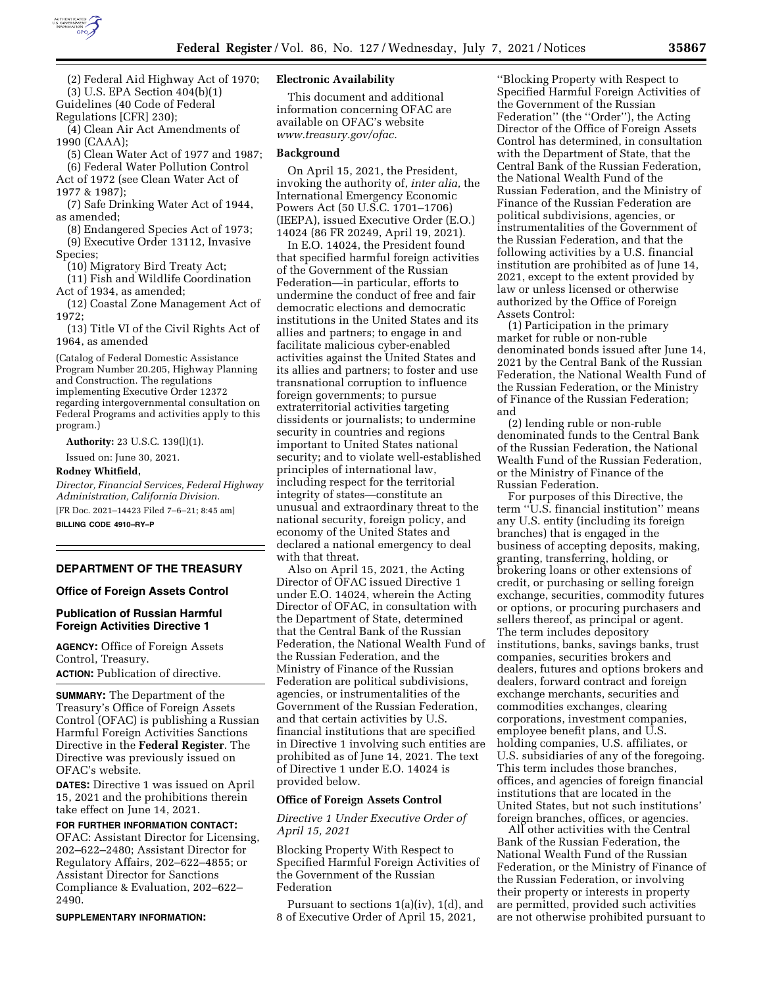

(2) Federal Aid Highway Act of 1970;

(3) U.S. EPA Section 404(b)(1)

Guidelines (40 Code of Federal

Regulations [CFR] 230);

(4) Clean Air Act Amendments of 1990 (CAAA);

(5) Clean Water Act of 1977 and 1987; (6) Federal Water Pollution Control

Act of 1972 (see Clean Water Act of 1977 & 1987);

(7) Safe Drinking Water Act of 1944, as amended;

(8) Endangered Species Act of 1973; (9) Executive Order 13112, Invasive Species;

(10) Migratory Bird Treaty Act;

(11) Fish and Wildlife Coordination Act of 1934, as amended;

(12) Coastal Zone Management Act of 1972;

(13) Title VI of the Civil Rights Act of 1964, as amended

(Catalog of Federal Domestic Assistance Program Number 20.205, Highway Planning and Construction. The regulations implementing Executive Order 12372 regarding intergovernmental consultation on Federal Programs and activities apply to this program.)

**Authority:** 23 U.S.C. 139(l)(1).

Issued on: June 30, 2021.

# **Rodney Whitfield,**

*Director, Financial Services, Federal Highway Administration, California Division.*  [FR Doc. 2021–14423 Filed 7–6–21; 8:45 am]

**BILLING CODE 4910–RY–P** 

## **DEPARTMENT OF THE TREASURY**

### **Office of Foreign Assets Control**

## **Publication of Russian Harmful Foreign Activities Directive 1**

**AGENCY:** Office of Foreign Assets Control, Treasury. **ACTION:** Publication of directive.

**SUMMARY:** The Department of the Treasury's Office of Foreign Assets Control (OFAC) is publishing a Russian Harmful Foreign Activities Sanctions Directive in the **Federal Register**. The Directive was previously issued on OFAC's website.

**DATES:** Directive 1 was issued on April 15, 2021 and the prohibitions therein take effect on June 14, 2021.

**FOR FURTHER INFORMATION CONTACT:**  OFAC: Assistant Director for Licensing, 202–622–2480; Assistant Director for Regulatory Affairs, 202–622–4855; or Assistant Director for Sanctions Compliance & Evaluation, 202–622–

**SUPPLEMENTARY INFORMATION:** 

2490.

## **Electronic Availability**

This document and additional information concerning OFAC are available on OFAC's website *[www.treasury.gov/ofac.](http://www.treasury.gov/ofac)* 

#### **Background**

On April 15, 2021, the President, invoking the authority of, *inter alia,* the International Emergency Economic Powers Act (50 U.S.C. 1701–1706) (IEEPA), issued Executive Order (E.O.) 14024 (86 FR 20249, April 19, 2021).

In E.O. 14024, the President found that specified harmful foreign activities of the Government of the Russian Federation—in particular, efforts to undermine the conduct of free and fair democratic elections and democratic institutions in the United States and its allies and partners; to engage in and facilitate malicious cyber-enabled activities against the United States and its allies and partners; to foster and use transnational corruption to influence foreign governments; to pursue extraterritorial activities targeting dissidents or journalists; to undermine security in countries and regions important to United States national security; and to violate well-established principles of international law, including respect for the territorial integrity of states—constitute an unusual and extraordinary threat to the national security, foreign policy, and economy of the United States and declared a national emergency to deal with that threat.

Also on April 15, 2021, the Acting Director of OFAC issued Directive 1 under E.O. 14024, wherein the Acting Director of OFAC, in consultation with the Department of State, determined that the Central Bank of the Russian Federation, the National Wealth Fund of the Russian Federation, and the Ministry of Finance of the Russian Federation are political subdivisions, agencies, or instrumentalities of the Government of the Russian Federation, and that certain activities by U.S. financial institutions that are specified in Directive 1 involving such entities are prohibited as of June 14, 2021. The text of Directive 1 under E.O. 14024 is provided below.

### **Office of Foreign Assets Control**

*Directive 1 Under Executive Order of April 15, 2021* 

Blocking Property With Respect to Specified Harmful Foreign Activities of the Government of the Russian Federation

Pursuant to sections 1(a)(iv), 1(d), and 8 of Executive Order of April 15, 2021,

''Blocking Property with Respect to Specified Harmful Foreign Activities of the Government of the Russian Federation'' (the ''Order''), the Acting Director of the Office of Foreign Assets Control has determined, in consultation with the Department of State, that the Central Bank of the Russian Federation, the National Wealth Fund of the Russian Federation, and the Ministry of Finance of the Russian Federation are political subdivisions, agencies, or instrumentalities of the Government of the Russian Federation, and that the following activities by a U.S. financial institution are prohibited as of June 14, 2021, except to the extent provided by law or unless licensed or otherwise authorized by the Office of Foreign Assets Control:

(1) Participation in the primary market for ruble or non-ruble denominated bonds issued after June 14, 2021 by the Central Bank of the Russian Federation, the National Wealth Fund of the Russian Federation, or the Ministry of Finance of the Russian Federation; and

(2) lending ruble or non-ruble denominated funds to the Central Bank of the Russian Federation, the National Wealth Fund of the Russian Federation, or the Ministry of Finance of the Russian Federation.

For purposes of this Directive, the term ''U.S. financial institution'' means any U.S. entity (including its foreign branches) that is engaged in the business of accepting deposits, making, granting, transferring, holding, or brokering loans or other extensions of credit, or purchasing or selling foreign exchange, securities, commodity futures or options, or procuring purchasers and sellers thereof, as principal or agent. The term includes depository institutions, banks, savings banks, trust companies, securities brokers and dealers, futures and options brokers and dealers, forward contract and foreign exchange merchants, securities and commodities exchanges, clearing corporations, investment companies, employee benefit plans, and U.S. holding companies, U.S. affiliates, or U.S. subsidiaries of any of the foregoing. This term includes those branches, offices, and agencies of foreign financial institutions that are located in the United States, but not such institutions' foreign branches, offices, or agencies.

All other activities with the Central Bank of the Russian Federation, the National Wealth Fund of the Russian Federation, or the Ministry of Finance of the Russian Federation, or involving their property or interests in property are permitted, provided such activities are not otherwise prohibited pursuant to